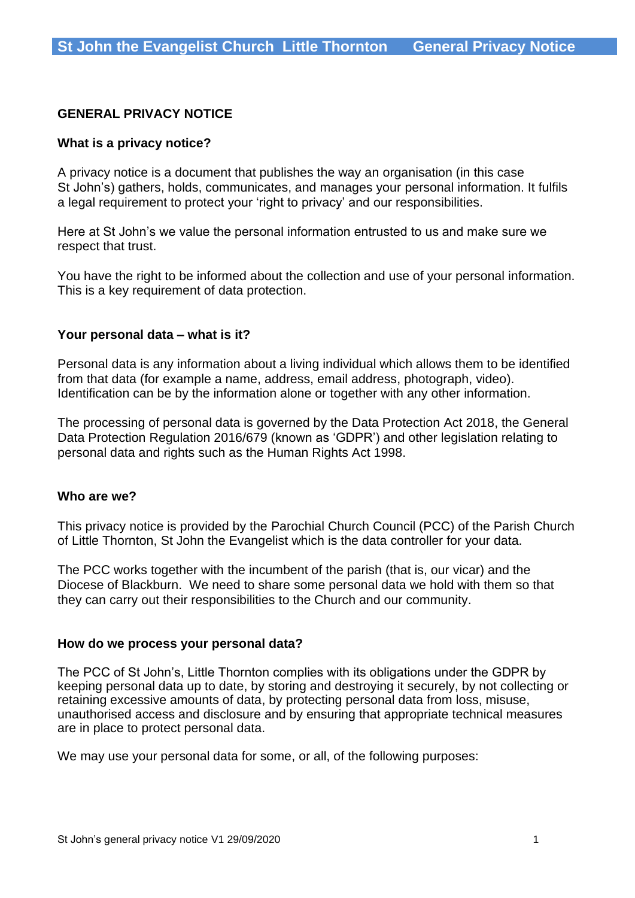## **GENERAL PRIVACY NOTICE**

#### **What is a privacy notice?**

A privacy notice is a document that publishes the way an organisation (in this case St John's) gathers, holds, communicates, and manages your personal information. It fulfils a legal requirement to protect your 'right to privacy' and our responsibilities.

Here at St John's we value the personal information entrusted to us and make sure we respect that trust.

You have the right to be informed about the collection and use of your personal information. This is a key requirement of data protection.

#### **Your personal data – what is it?**

Personal data is any information about a living individual which allows them to be identified from that data (for example a name, address, email address, photograph, video). Identification can be by the information alone or together with any other information.

The processing of personal data is governed by the Data Protection Act 2018, the General Data Protection Regulation 2016/679 (known as 'GDPR') and other legislation relating to personal data and rights such as the Human Rights Act 1998.

#### **Who are we?**

This privacy notice is provided by the Parochial Church Council (PCC) of the Parish Church of Little Thornton, St John the Evangelist which is the data controller for your data.

The PCC works together with the incumbent of the parish (that is, our vicar) and the Diocese of Blackburn. We need to share some personal data we hold with them so that they can carry out their responsibilities to the Church and our community.

#### **How do we process your personal data?**

The PCC of St John's, Little Thornton complies with its obligations under the GDPR by keeping personal data up to date, by storing and destroying it securely, by not collecting or retaining excessive amounts of data, by protecting personal data from loss, misuse, unauthorised access and disclosure and by ensuring that appropriate technical measures are in place to protect personal data.

We may use your personal data for some, or all, of the following purposes: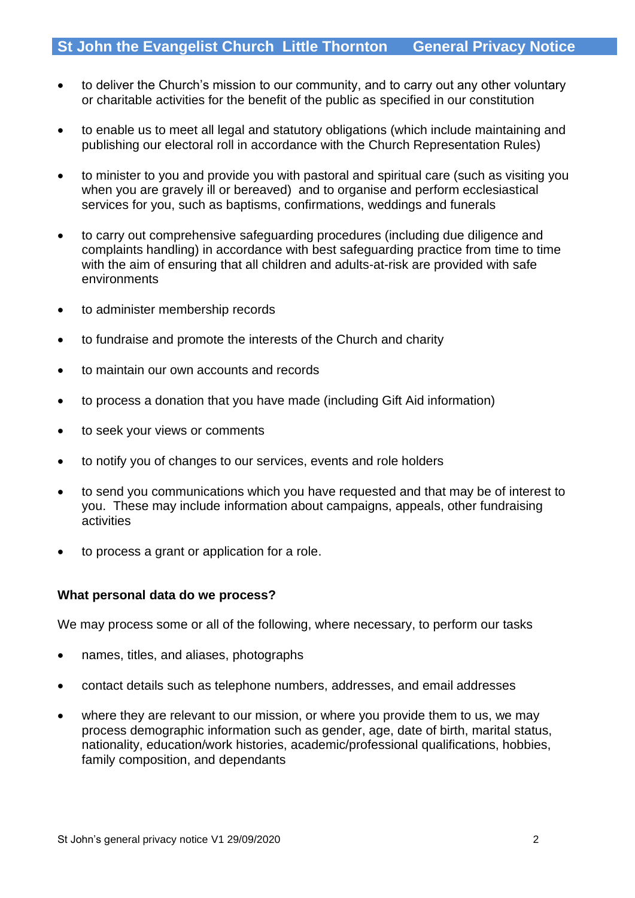- to deliver the Church's mission to our community, and to carry out any other voluntary or charitable activities for the benefit of the public as specified in our constitution
- to enable us to meet all legal and statutory obligations (which include maintaining and publishing our electoral roll in accordance with the Church Representation Rules)
- to minister to you and provide you with pastoral and spiritual care (such as visiting you when you are gravely ill or bereaved) and to organise and perform ecclesiastical services for you, such as baptisms, confirmations, weddings and funerals
- to carry out comprehensive safeguarding procedures (including due diligence and complaints handling) in accordance with best safeguarding practice from time to time with the aim of ensuring that all children and adults-at-risk are provided with safe environments
- to administer membership records
- to fundraise and promote the interests of the Church and charity
- to maintain our own accounts and records
- to process a donation that you have made (including Gift Aid information)
- to seek your views or comments
- to notify you of changes to our services, events and role holders
- to send you communications which you have requested and that may be of interest to you. These may include information about campaigns, appeals, other fundraising activities
- to process a grant or application for a role.

## **What personal data do we process?**

We may process some or all of the following, where necessary, to perform our tasks

- names, titles, and aliases, photographs
- contact details such as telephone numbers, addresses, and email addresses
- where they are relevant to our mission, or where you provide them to us, we may process demographic information such as gender, age, date of birth, marital status, nationality, education/work histories, academic/professional qualifications, hobbies, family composition, and dependants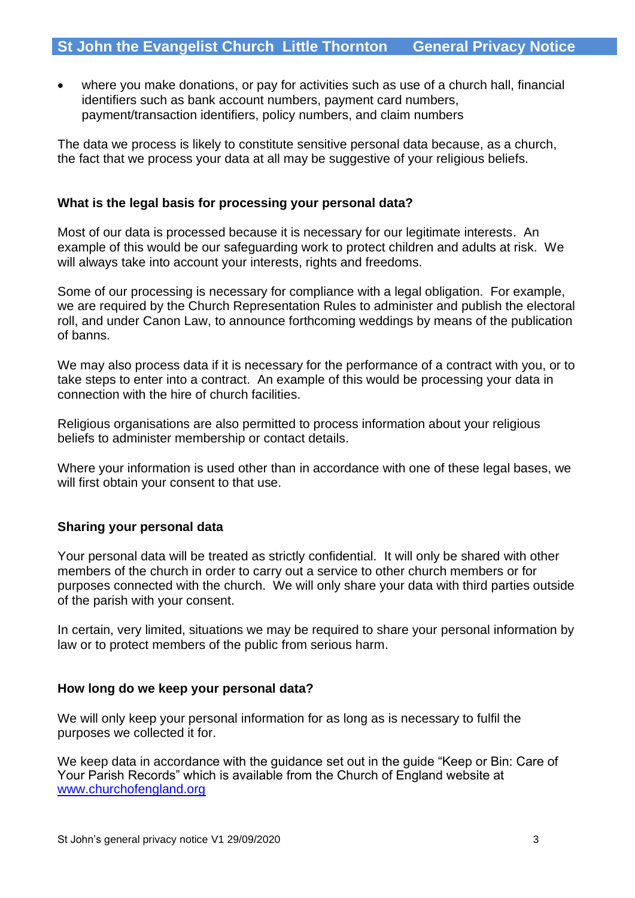where you make donations, or pay for activities such as use of a church hall, financial identifiers such as bank account numbers, payment card numbers, payment/transaction identifiers, policy numbers, and claim numbers

The data we process is likely to constitute sensitive personal data because, as a church, the fact that we process your data at all may be suggestive of your religious beliefs.

#### **What is the legal basis for processing your personal data?**

Most of our data is processed because it is necessary for our legitimate interests. An example of this would be our safeguarding work to protect children and adults at risk. We will always take into account your interests, rights and freedoms.

Some of our processing is necessary for compliance with a legal obligation. For example, we are required by the Church Representation Rules to administer and publish the electoral roll, and under Canon Law, to announce forthcoming weddings by means of the publication of banns.

We may also process data if it is necessary for the performance of a contract with you, or to take steps to enter into a contract. An example of this would be processing your data in connection with the hire of church facilities.

Religious organisations are also permitted to process information about your religious beliefs to administer membership or contact details.

Where your information is used other than in accordance with one of these legal bases, we will first obtain your consent to that use.

## **Sharing your personal data**

Your personal data will be treated as strictly confidential. It will only be shared with other members of the church in order to carry out a service to other church members or for purposes connected with the church. We will only share your data with third parties outside of the parish with your consent.

In certain, very limited, situations we may be required to share your personal information by law or to protect members of the public from serious harm.

## **How long do we keep your personal data?**

We will only keep your personal information for as long as is necessary to fulfil the purposes we collected it for.

We keep data in accordance with the guidance set out in the guide "Keep or Bin: Care of Your Parish Records" which is available from the Church of England website at [www.churchofengland.org](http://www.churchofengland.org/)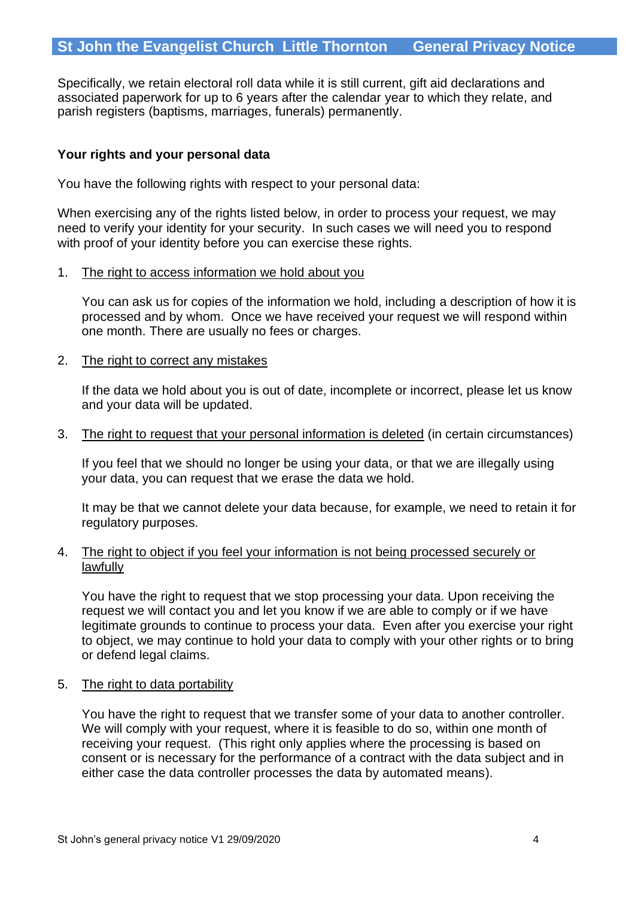Specifically, we retain electoral roll data while it is still current, gift aid declarations and associated paperwork for up to 6 years after the calendar year to which they relate, and parish registers (baptisms, marriages, funerals) permanently.

# **Your rights and your personal data**

You have the following rights with respect to your personal data:

When exercising any of the rights listed below, in order to process your request, we may need to verify your identity for your security. In such cases we will need you to respond with proof of your identity before you can exercise these rights.

1. The right to access information we hold about you

You can ask us for copies of the information we hold, including a description of how it is processed and by whom. Once we have received your request we will respond within one month. There are usually no fees or charges.

#### 2. The right to correct any mistakes

If the data we hold about you is out of date, incomplete or incorrect, please let us know and your data will be updated.

3. The right to request that your personal information is deleted (in certain circumstances)

If you feel that we should no longer be using your data, or that we are illegally using your data, you can request that we erase the data we hold.

It may be that we cannot delete your data because, for example, we need to retain it for regulatory purposes.

#### 4. The right to object if you feel your information is not being processed securely or lawfully

You have the right to request that we stop processing your data. Upon receiving the request we will contact you and let you know if we are able to comply or if we have legitimate grounds to continue to process your data. Even after you exercise your right to object, we may continue to hold your data to comply with your other rights or to bring or defend legal claims.

5. The right to data portability

You have the right to request that we transfer some of your data to another controller. We will comply with your request, where it is feasible to do so, within one month of receiving your request. (This right only applies where the processing is based on consent or is necessary for the performance of a contract with the data subject and in either case the data controller processes the data by automated means).